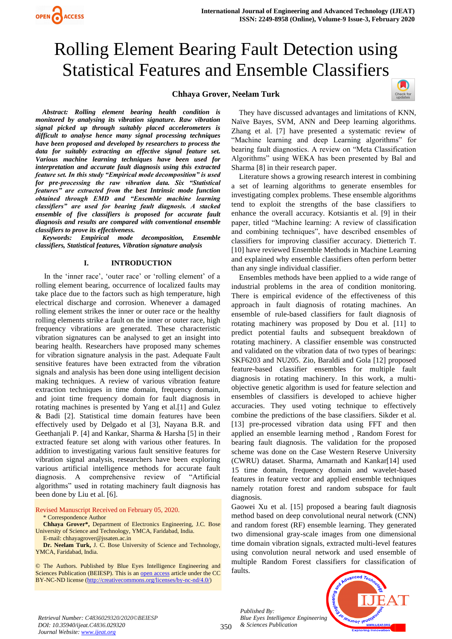# **Chhaya Grover, Neelam Turk**



*Abstract: Rolling element bearing health condition is monitored by analysing its vibration signature. Raw vibration signal picked up through suitably placed accelerometers is difficult to analyse hence many signal processing techniques have been proposed and developed by researchers to process the data for suitably extracting an effective signal feature set. Various machine learning techniques have been used for interpretation and accurate fault diagnosis using this extracted feature set. In this study "Empirical mode decomposition" is used for pre-processing the raw vibration data. Six "Statistical features" are extracted from the best Intrinsic mode function obtained through EMD and "Ensemble machine learning classifiers" are used for bearing fault diagnosis. A stacked ensemble of five classifiers is proposed for accurate fault diagnosis and results are compared with conventional ensemble classifiers to prove its effectiveness.*

*Keywords: Empirical mode decomposition, Ensemble classifiers, Statistical features, Vibration signature analysis*

#### **I. INTRODUCTION**

 In the 'inner race', 'outer race' or 'rolling element' of a rolling element bearing, occurrence of localized faults may take place due to the factors such as high temperature, high electrical discharge and corrosion. Whenever a damaged rolling element strikes the inner or outer race or the healthy rolling elements strike a fault on the inner or outer race, high frequency vibrations are generated. These characteristic vibration signatures can be analysed to get an insight into bearing health. Researchers have proposed many schemes for vibration signature analysis in the past. Adequate Fault sensitive features have been extracted from the vibration signals and analysis has been done using intelligent decision making techniques. A review of various vibration feature extraction techniques in time domain, frequency domain, and joint time frequency domain for fault diagnosis in rotating machines is presented by Yang et al.[1] and Gulez & Badi [2]. Statistical time domain features have been effectively used by Delgado et al [3], Nayana B.R. and Geethanjali P. [4] and Kankar, Sharma & Harsha [5] in their extracted feature set along with various other features. In addition to investigating various fault sensitive features for vibration signal analysis, researchers have been exploring various artificial intelligence methods for accurate fault diagnosis. A comprehensive review of "Artificial algorithms" used in rotating machinery fault diagnosis has been done by Liu et al. [6].

Revised Manuscript Received on February 05, 2020.

#### \* Correspondence Author

**Chhaya Grover\*,** Department of Electronics Engineering, J.C. Bose University of Science and Technology, YMCA, Faridabad, India.

E-mail: [chhayagrover@jssaten.ac.in](mailto:chhayagrover@jssaten.ac.in)

**Dr. Neelam Turk,** J. C. Bose University of Science and Technology, YMCA, Faridabad, India.

© The Authors. Published by Blue Eyes Intelligence Engineering and Sciences Publication (BEIESP). This is a[n open access](https://www.openaccess.nl/en/open-publications) article under the CC BY-NC-ND license [\(http://creativecommons.org/licenses/by-nc-nd/4.0/\)](http://creativecommons.org/licenses/by-nc-nd/4.0/)

They have discussed advantages and limitations of KNN, Naïve Bayes, SVM, ANN and Deep learning algorithms. Zhang et al. [7] have presented a systematic review of "Machine learning and deep Learning algorithms" for bearing fault diagnostics. A review on "Meta Classification Algorithms" using WEKA has been presented by Bal and Sharma [8] in their research paper.

Literature shows a growing research interest in combining a set of learning algorithms to generate ensembles for investigating complex problems. These ensemble algorithms tend to exploit the strengths of the base classifiers to enhance the overall accuracy. Kotsiantis et al. [9] in their paper, titled "Machine learning: A review of classification and combining techniques", have described ensembles of classifiers for improving classifier accuracy. Dietterich T. [10] have reviewed Ensemble Methods in Machine Learning and explained why ensemble classifiers often perform better than any single individual classifier.

Ensembles methods have been applied to a wide range of industrial problems in the area of condition monitoring. There is empirical evidence of the effectiveness of this approach in fault diagnosis of rotating machines. An ensemble of rule-based classifiers for fault diagnosis of rotating machinery was proposed by Dou et al. [11] to predict potential faults and subsequent breakdown of rotating machinery. A classifier ensemble was constructed and validated on the vibration data of two types of bearings: SKF6203 and NU205. Zio, Baraldi and Gola [12] proposed feature-based classifier ensembles for multiple fault diagnosis in rotating machinery. In this work, a multiobjective genetic algorithm is used for feature selection and ensembles of classifiers is developed to achieve higher accuracies. They used voting technique to effectively combine the predictions of the base classifiers. Sikder et al. [13] pre-processed vibration data using FFT and then applied an ensemble learning method , Random Forest for bearing fault diagnosis. The validation for the proposed scheme was done on the Case Western Reserve University (CWRU) dataset. Sharma, Amarnath and Kankar[14] used 15 time domain, frequency domain and wavelet-based features in feature vector and applied ensemble techniques namely rotation forest and random subspace for fault diagnosis.

Gaowei Xu et al. [15] proposed a bearing fault diagnosis method based on deep convolutional neural network (CNN) and random forest (RF) ensemble learning. They generated two dimensional gray-scale images from one dimensional time domain vibration signals, extracted multi-level features using convolution neural network and used ensemble of multiple Random Forest classifiers for classification of faults.



*Retrieval Number: C4836029320/2020©BEIESP DOI: 10.35940/ijeat.C4836.029320 Journal Website[: www.ijeat.org](http://www.ijeat.org/)*

*Published By:*

*& Sciences Publication*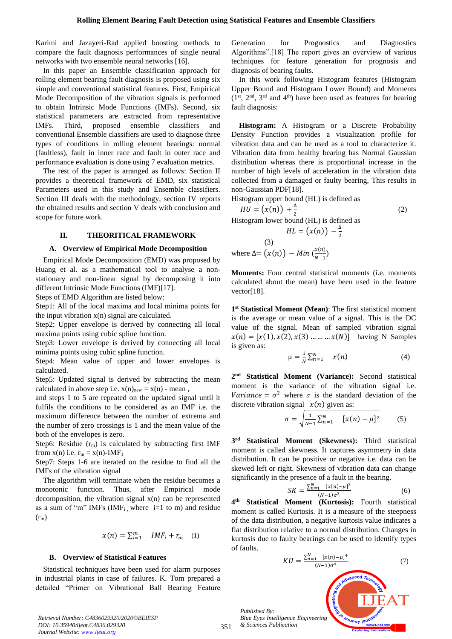Karimi and Jazayeri-Rad applied boosting methods to compare the fault diagnosis performances of single neural networks with two ensemble neural networks [16].

In this paper an Ensemble classification approach for rolling element bearing fault diagnosis is proposed using six simple and conventional statistical features. First, Empirical Mode Decomposition of the vibration signals is performed to obtain Intrinsic Mode Functions (IMFs). Second, six statistical parameters are extracted from representative IMFs. Third, proposed ensemble classifiers and conventional Ensemble classifiers are used to diagnose three types of conditions in rolling element bearings: normal (faultless), fault in inner race and fault in outer race and performance evaluation is done using 7 evaluation metrics.

The rest of the paper is arranged as follows: Section II provides a theoretical framework of EMD, six statistical Parameters used in this study and Ensemble classifiers. Section III deals with the methodology, section IV reports the obtained results and section V deals with conclusion and scope for future work.

#### **II. THEORITICAL FRAMEWORK**

#### **A. Overview of Empirical Mode Decomposition**

Empirical Mode Decomposition (EMD) was proposed by Huang et al. as a mathematical tool to analyse a nonstationary and non-linear signal by decomposing it into different Intrinsic Mode Functions (IMF)[17].

Steps of EMD Algorithm are listed below:

Step1: All of the local maxima and local minima points for the input vibration  $x(n)$  signal are calculated.

Step2: Upper envelope is derived by connecting all local maxima points using cubic spline function.

Step3: Lower envelope is derived by connecting all local minima points using cubic spline function.

Step4: Mean value of upper and lower envelopes is calculated.

Step5: Updated signal is derived by subtracting the mean calculated in above step i.e.  $x(n)_{new} = x(n)$  - mean,

and steps 1 to 5 are repeated on the updated signal until it fulfils the conditions to be considered as an IMF i.e. the maximum difference between the number of extrema and the number of zero crossings is 1 and the mean value of the both of the envelopes is zero.

Step6: Residue  $(r_m)$  is calculated by subtracting first IMF from  $x(n)$  i.e.  $r_m = x(n)$ -IMF<sub>1</sub>

Step7: Steps 1-6 are iterated on the residue to find all the IMFs of the vibration signal

The algorithm will terminate when the residue becomes a monotonic function. Thus, after Empirical mode decomposition, the vibration signal x(n) can be represented as a sum of "m" IMFs (IMF<sub>i</sub>, where i=1 to m) and residue  $(r_m)$ 

$$
x(n) = \sum_{i=1}^{m} IMF_i + r_m \quad (1)
$$

#### **B. Overview of Statistical Features**

Statistical techniques have been used for alarm purposes in industrial plants in case of failures. K. Tom prepared a detailed "Primer on Vibrational Ball Bearing Feature

Generation for Prognostics and Diagnostics Algorithms".[18] The report gives an overview of various techniques for feature generation for prognosis and diagnosis of bearing faults.

In this work following Histogram features (Histogram Upper Bound and Histogram Lower Bound) and Moments  $(1^{st}, 2^{nd}, 3^{rd}$  and  $4^{th}$ ) have been used as features for bearing fault diagnosis:

**Histogram:** A Histogram or a Discrete Probability Density Function provides a visualization profile for vibration data and can be used as a tool to characterize it. Vibration data from healthy bearing has Normal Gaussian distribution whereas there is proportional increase in the number of high levels of acceleration in the vibration data collected from a damaged or faulty bearing, This results in non-Gaussian PDF[18].

Histogram upper bound (HL) is defined as

$$
HU = (x(n)) + \frac{\Delta}{2}
$$
 (2)  
Historam lower bound (HL) is defined as

 $\frac{4}{2}$ 

$$
HL = \big(x(n)\big) -
$$

where 
$$
\Delta = (x(n)) - Min \left(\frac{x(n)}{N-1}\right)
$$

**Moments:** Four central statistical moments (i.e. moments calculated about the mean) have been used in the feature vector[18].

**1 st Statistical Moment (Mean)**: The first statistical moment is the average or mean value of a signal. This is the DC value of the signal. Mean of sampled vibration signal  $x(n) = [x(1), x(2), x(3) \dots \dots \dots x(N)]$  having N Samples is given as:

$$
\mu = \frac{1}{N} \sum_{n=1}^{N} x(n) \tag{4}
$$

**2 nd Statistical Moment (Variance):** Second statistical moment is the variance of the vibration signal i.e. Variance =  $\sigma^2$  where  $\sigma$  is the standard deviation of the discrete vibration signal  $x(n)$  given as:

$$
\sigma = \sqrt{\frac{1}{N-1} \sum_{n=1}^{N} [x(n) - \mu]^2}
$$
 (5)

**3 rd Statistical Moment (Skewness):** Third statistical moment is called skewness. It captures asymmetry in data distribution. It can be positive or negative i.e. data can be skewed left or right. Skewness of vibration data can change significantly in the presence of a fault in the bearing.

$$
SK = \frac{\sum_{n=1}^{N} [x(n) - \mu]^3}{(N-1)\sigma^3}
$$
 (6)

**4 Statistical Moment (Kurtosis):** Fourth statistical moment is called Kurtosis. It is a measure of the steepness of the data distribution, a negative kurtosis value indicates a flat distribution relative to a normal distribution. Changes in kurtosis due to faulty bearings can be used to identify types of faults.

$$
KU = \frac{\sum_{n=1}^{N} [x(n) - \mu]^4}{(N-1)\sigma^4}
$$
(7)  
Published By:  
Published By:  
Blue Eyes Intelligence Engineering

**WWW.IJEAT.ORC** 

*Retrieval Number: C4836029320/2020©BEIESP DOI: 10.35940/ijeat.C4836.029320 Journal Website[: www.ijeat.org](http://www.ijeat.org/)*

*Published By:*

*& Sciences Publication*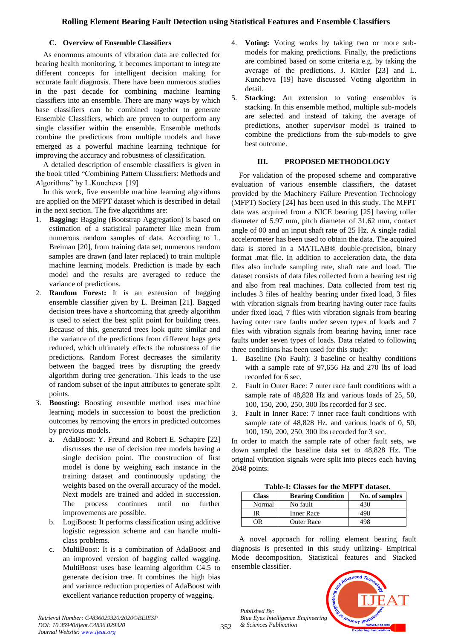# **C. Overview of Ensemble Classifiers**

As enormous amounts of vibration data are collected for bearing health monitoring, it becomes important to integrate different concepts for intelligent decision making for accurate fault diagnosis. There have been numerous studies in the past decade for combining machine learning classifiers into an ensemble. There are many ways by which base classifiers can be combined together to generate Ensemble Classifiers, which are proven to outperform any single classifier within the ensemble. Ensemble methods combine the predictions from multiple models and have emerged as a powerful machine learning technique for improving the accuracy and robustness of classification.

A detailed description of ensemble classifiers is given in the book titled "Combining Pattern Classifiers: Methods and Algorithms" by L.Kuncheva [19]

In this work, five ensemble machine learning algorithms are applied on the MFPT dataset which is described in detail in the next section. The five algorithms are:

- 1. **Bagging:** Bagging (Bootstrap Aggregation) is based on estimation of a statistical parameter like mean from numerous random samples of data. According to L. Breiman [20], from training data set, numerous random samples are drawn (and later replaced) to train multiple machine learning models. Prediction is made by each model and the results are averaged to reduce the variance of predictions.
- 2. **Random Forest:** It is an extension of bagging ensemble classifier given by L. Breiman [21]. Bagged decision trees have a shortcoming that greedy algorithm is used to select the best split point for building trees. Because of this, generated trees look quite similar and the variance of the predictions from different bags gets reduced, which ultimately effects the robustness of the predictions. Random Forest decreases the similarity between the bagged trees by disrupting the greedy algorithm during tree generation. This leads to the use of random subset of the input attributes to generate split points.
- 3. **Boosting:** Boosting ensemble method uses machine learning models in succession to boost the prediction outcomes by removing the errors in predicted outcomes by previous models.
	- a. AdaBoost: Y. Freund and Robert E. Schapire [22] discusses the use of decision tree models having a single decision point. The construction of first model is done by weighing each instance in the training dataset and continuously updating the weights based on the overall accuracy of the model. Next models are trained and added in succession. The process continues until no further improvements are possible.
	- b. LogiBoost: It performs classification using additive logistic regression scheme and can handle multiclass problems.
	- c. MultiBoost: It is a combination of AdaBoost and an improved version of bagging called wagging. MultiBoost uses base learning algorithm C4.5 to generate decision tree. It combines the high bias and variance reduction properties of AdaBoost with excellent variance reduction property of wagging.
- 4. **Voting:** Voting works by taking two or more submodels for making predictions. Finally, the predictions are combined based on some criteria e.g. by taking the average of the predictions. J. Kittler [23] and L. Kuncheva [19] have discussed Voting algorithm in detail.
- 5. **Stacking:** An extension to voting ensembles is stacking. In this ensemble method, multiple sub-models are selected and instead of taking the average of predictions, another supervisor model is trained to combine the predictions from the sub-models to give best outcome.

# **III. PROPOSED METHODOLOGY**

For validation of the proposed scheme and comparative evaluation of various ensemble classifiers, the dataset provided by the Machinery Failure Prevention Technology (MFPT) Society [24] has been used in this study. The MFPT data was acquired from a NICE bearing [25] having roller diameter of 5.97 mm, pitch diameter of 31.62 mm, contact angle of 00 and an input shaft rate of 25 Hz. A single radial accelerometer has been used to obtain the data. The acquired data is stored in a MATLAB® double-precision, binary format .mat file. In addition to acceleration data, the data files also include sampling rate, shaft rate and load. The dataset consists of data files collected from a bearing test rig and also from real machines. Data collected from test rig includes 3 files of healthy bearing under fixed load, 3 files with vibration signals from bearing having outer race faults under fixed load, 7 files with vibration signals from bearing having outer race faults under seven types of loads and 7 files with vibration signals from bearing having inner race faults under seven types of loads. Data related to following three conditions has been used for this study:

- 1. Baseline (No Fault): 3 baseline or healthy conditions with a sample rate of 97,656 Hz and 270 lbs of load recorded for 6 sec.
- 2. Fault in Outer Race: 7 outer race fault conditions with a sample rate of 48,828 Hz and various loads of 25, 50, 100, 150, 200, 250, 300 lbs recorded for 3 sec.
- 3. Fault in Inner Race: 7 inner race fault conditions with sample rate of 48,828 Hz. and various loads of 0, 50, 100, 150, 200, 250, 300 lbs recorded for 3 sec.

In order to match the sample rate of other fault sets, we down sampled the baseline data set to 48,828 Hz. The original vibration signals were split into pieces each having 2048 points.

**Table-I: Classes for the MFPT dataset.**

| Class  | <b>Bearing Condition</b> | No. of samples |
|--------|--------------------------|----------------|
| Normal | No fault                 | 430            |
|        | <b>Inner Race</b>        | 498            |
|        | <b>Outer Race</b>        | LQS.           |

A novel approach for rolling element bearing fault diagnosis is presented in this study utilizing- Empirical Mode decomposition, Statistical features and Stacked ensemble classifier.

*Published By: Blue Eyes Intelligence Engineering & Sciences Publication* 

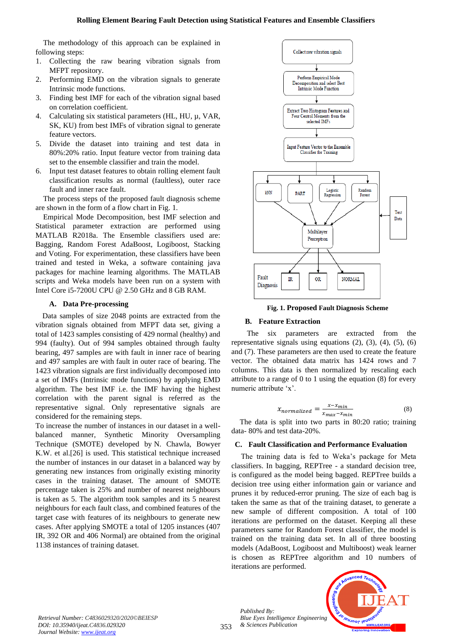The methodology of this approach can be explained in following steps:

- 1. Collecting the raw bearing vibration signals from MFPT repository.
- 2. Performing EMD on the vibration signals to generate Intrinsic mode functions.
- 3. Finding best IMF for each of the vibration signal based on correlation coefficient.
- 4. Calculating six statistical parameters (HL, HU,  $\mu$ , VAR, SK, KU) from best IMFs of vibration signal to generate feature vectors.
- 5. Divide the dataset into training and test data in 80%:20% ratio. Input feature vector from training data set to the ensemble classifier and train the model.
- 6. Input test dataset features to obtain rolling element fault classification results as normal (faultless), outer race fault and inner race fault.

The process steps of the proposed fault diagnosis scheme are shown in the form of a flow chart in Fig. 1.

Empirical Mode Decomposition, best IMF selection and Statistical parameter extraction are performed using MATLAB R2018a. The Ensemble classifiers used are: Bagging, Random Forest AdaBoost, Logiboost, Stacking and Voting. For experimentation, these classifiers have been trained and tested in Weka, a software containing java packages for machine learning algorithms. The MATLAB scripts and Weka models have been run on a system with Intel Core i5-7200U CPU @ 2.50 GHz and 8 GB RAM.

# **A. Data Pre-processing**

 Data samples of size 2048 points are extracted from the vibration signals obtained from MFPT data set, giving a total of 1423 samples consisting of 429 normal (healthy) and 994 (faulty). Out of 994 samples obtained through faulty bearing, 497 samples are with fault in inner race of bearing and 497 samples are with fault in outer race of bearing. The 1423 vibration signals are first individually decomposed into a set of IMFs (Intrinsic mode functions) by applying EMD algorithm. The best IMF i.e. the IMF having the highest correlation with the parent signal is referred as the representative signal. Only representative signals are considered for the remaining steps.

To increase the number of instances in our dataset in a wellbalanced manner, Synthetic Minority Oversampling Technique (SMOTE) developed by N. Chawla, Bowyer K.W. et al.[26] is used. This statistical technique increased the number of instances in our dataset in a balanced way by generating new instances from originally existing minority cases in the training dataset. The amount of SMOTE percentage taken is 25% and number of nearest neighbours is taken as 5. The algorithm took samples and its 5 nearest neighbours for each fault class, and combined features of the target case with features of its neighbours to generate new cases. After applying SMOTE a total of 1205 instances (407 IR, 392 OR and 406 Normal) are obtained from the original 1138 instances of training dataset.



**Fig. 1. Proposed Fault Diagnosis Scheme**

# **B. Feature Extraction**

 The six parameters are extracted from the representative signals using equations  $(2)$ ,  $(3)$ ,  $(4)$ ,  $(5)$ ,  $(6)$ and (7). These parameters are then used to create the feature vector. The obtained data matrix has 1424 rows and 7 columns. This data is then normalized by rescaling each attribute to a range of 0 to 1 using the equation (8) for every numeric attribute 'x'.

$$
x_{normalized} = \frac{x - x_{min}}{x_{max} - x_{min}} \tag{8}
$$

 The data is split into two parts in 80:20 ratio; training data- 80% and test data-20%.

# **C. Fault Classification and Performance Evaluation**

 The training data is fed to Weka's package for Meta classifiers. In bagging, REPTree - a standard decision tree, is configured as the model being bagged. REPTree builds a decision tree using either information gain or variance and prunes it by reduced-error pruning. The size of each bag is taken the same as that of the training dataset, to generate a new sample of different composition. A total of 100 iterations are performed on the dataset. Keeping all these parameters same for Random Forest classifier, the model is trained on the training data set. In all of three boosting models (AdaBoost, Logiboost and Multiboost) weak learner is chosen as REPTree algorithm and 10 numbers of iterations are performed.

*Retrieval Number: C4836029320/2020©BEIESP DOI: 10.35940/ijeat.C4836.029320 Journal Website[: www.ijeat.org](http://www.ijeat.org/)*

353 *Published By: Blue Eyes Intelligence Engineering & Sciences Publication* 

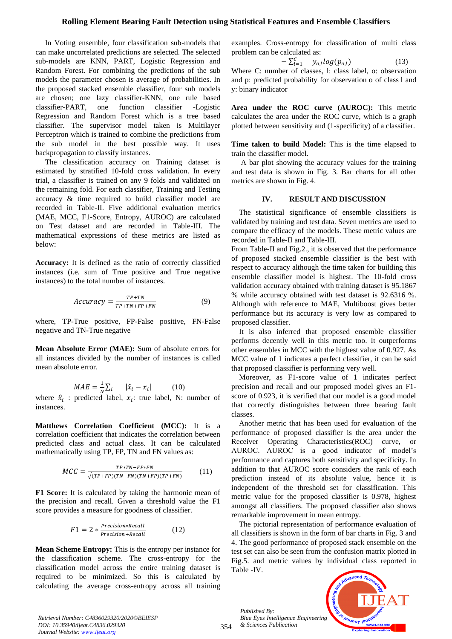In Voting ensemble, four classification sub-models that can make uncorrelated predictions are selected. The selected sub-models are KNN, PART, Logistic Regression and Random Forest. For combining the predictions of the sub models the parameter chosen is average of probabilities. In the proposed stacked ensemble classifier, four sub models are chosen; one lazy classifier-KNN, one rule based classifier-PART, one function classifier -Logistic Regression and Random Forest which is a tree based classifier. The supervisor model taken is Multilayer Perceptron which is trained to combine the predictions from the sub model in the best possible way. It uses backpropagation to classify instances.

 The classification accuracy on Training dataset is estimated by stratified 10-fold cross validation. In every trial, a classifier is trained on any 9 folds and validated on the remaining fold. For each classifier, Training and Testing accuracy & time required to build classifier model are recorded in Table-II. Five additional evaluation metrics (MAE, MCC, F1-Score, Entropy, AUROC) are calculated on Test dataset and are recorded in Table-III. The mathematical expressions of these metrics are listed as below:

**Accuracy:** It is defined as the ratio of correctly classified instances (i.e. sum of True positive and True negative instances) to the total number of instances.

$$
Accuracy = \frac{TP + TN}{TP + TN + FP + FN}
$$
 (9)

where, TP-True positive, FP-False positive, FN-False negative and TN-True negative

**Mean Absolute Error (MAE):** Sum of absolute errors for all instances divided by the number of instances is called mean absolute error.

$$
MAE = \frac{1}{N} \sum_{i} \qquad |\hat{x}_i - x_i| \tag{10}
$$

where  $\hat{x}_i$ : predicted label,  $x_i$ : true label, N: number of instances.

**Matthews Correlation Coefficient (MCC):** It is a correlation coefficient that indicates the correlation between predicted class and actual class. It can be calculated mathematically using TP, FP, TN and FN values as:

$$
MCC = \frac{TP * TN - FP * FN}{\sqrt{(TP + FP)(TN + FN)(TN + FP)(TP + FN)}}
$$
(11)

**F1 Score:** It is calculated by taking the harmonic mean of the precision and recall. Given a threshold value the F1 score provides a measure for goodness of classifier.

$$
F1 = 2 * \frac{Precision * Recall}{Precision + Recall}
$$
 (12)

**Mean Scheme Entropy:** This is the entropy per instance for the classification scheme. The cross-entropy for the classification model across the entire training dataset is required to be minimized. So this is calculated by calculating the average cross-entropy across all training examples. Cross-entropy for classification of multi class problem can be calculated as:

$$
-\sum_{l=1}^{C} y_{o,l} log(p_{o,l})
$$
 (13)  
Where C: number of classes, 1: class label, o: observation  
and p: predicted probability for observation o of class 1 and  
y: binary indicator

**Area under the ROC curve (AUROC):** This metric calculates the area under the ROC curve, which is a graph plotted between sensitivity and (1-specificity) of a classifier.

**Time taken to build Model:** This is the time elapsed to train the classifier model.

 A bar plot showing the accuracy values for the training and test data is shown in Fig. 3. Bar charts for all other metrics are shown in Fig. 4.

#### **IV. RESULT AND DISCUSSION**

The statistical significance of ensemble classifiers is validated by training and test data. Seven metrics are used to compare the efficacy of the models. These metric values are recorded in Table-II and Table-III.

From Table-II and Fig.2., it is observed that the performance of proposed stacked ensemble classifier is the best with respect to accuracy although the time taken for building this ensemble classifier model is highest. The 10-fold cross validation accuracy obtained with training dataset is 95.1867 % while accuracy obtained with test dataset is 92.6316 %. Although with reference to MAE, Multiboost gives better performance but its accuracy is very low as compared to proposed classifier.

It is also inferred that proposed ensemble classifier performs decently well in this metric too. It outperforms other ensembles in MCC with the highest value of 0.927. As MCC value of 1 indicates a perfect classifier, it can be said that proposed classifier is performing very well.

 Moreover, as F1-score value of 1 indicates perfect precision and recall and our proposed model gives an F1 score of 0.923, it is verified that our model is a good model that correctly distinguishes between three bearing fault classes.

Another metric that has been used for evaluation of the performance of proposed classifier is the area under the Receiver Operating Characteristics(ROC) curve, or AUROC. AUROC is a good indicator of model's performance and captures both sensitivity and specificity. In addition to that AUROC score considers the rank of each prediction instead of its absolute value, hence it is independent of the threshold set for classification. This metric value for the proposed classifier is 0.978, highest amongst all classifiers. The proposed classifier also shows remarkable improvement in mean entropy.

The pictorial representation of performance evaluation of all classifiers is shown in the form of bar charts in Fig. 3 and 4. The good performance of proposed stack ensemble on the test set can also be seen from the confusion matrix plotted in Fig.5. and metric values by individual class reported in Table -IV.

*Published By: Blue Eyes Intelligence Engineering & Sciences Publication* 

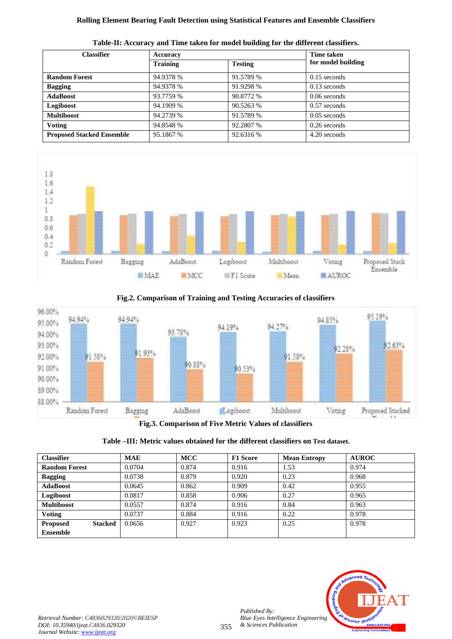| <b>Classifier</b>                | Accuracy        | Time taken     |                    |
|----------------------------------|-----------------|----------------|--------------------|
|                                  | <b>Training</b> | <b>Testing</b> | for model building |
| <b>Random Forest</b>             | 94.9378 %       | 91.5789 %      | $0.15$ seconds     |
| <b>Bagging</b>                   | 94.9378 %       | 91.9298 %      | $0.13$ seconds     |
| <b>AdaBoost</b>                  | 93.7759 %       | 90.8772 %      | $0.06$ seconds     |
| Logiboost                        | 94.1909 %       | 90.5263 %      | $0.57$ seconds     |
| <b>Multiboost</b>                | 94.2739 %       | 91.5789 %      | $0.05$ seconds     |
| <b>Voting</b>                    | 94.8548 %       | 92.2807 %      | $0.26$ seconds     |
| <b>Proposed Stacked Ensemble</b> | 95.1867 %       | 92.6316 %      | 4.20 seconds       |





**Fig.2. Comparison of Training and Testing Accuracies of classifiers**



**Fig.3. Comparison of Five Metric Values of classifiers**



| <b>Classifier</b>                 | <b>MAE</b> | <b>MCC</b> | <b>F1 Score</b> | <b>Mean Entropy</b> | <b>AUROC</b> |
|-----------------------------------|------------|------------|-----------------|---------------------|--------------|
| <b>Random Forest</b>              | 0.0704     | 0.874      | 0.916           | 1.53                | 0.974        |
| <b>Bagging</b>                    | 0.0738     | 0.879      | 0.920           | 0.23                | 0.968        |
| <b>AdaBoost</b>                   | 0.0645     | 0.862      | 0.909           | 0.42                | 0.955        |
| Logiboost                         | 0.0817     | 0.858      | 0.906           | 0.27                | 0.965        |
| <b>Multiboost</b>                 | 0.0557     | 0.874      | 0.916           | 0.84                | 0.963        |
| <b>Voting</b>                     | 0.0737     | 0.884      | 0.916           | 0.22                | 0.978        |
| <b>Proposed</b><br><b>Stacked</b> | 0.0656     | 0.927      | 0.923           | 0.25                | 0.978        |
| <b>Ensemble</b>                   |            |            |                 |                     |              |

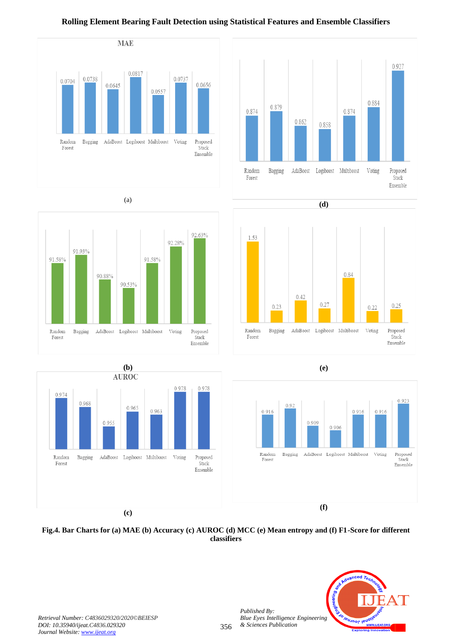

# (a)





# **Rolling Element Bearing Fault Detection using Statistical Features and Ensemble Classifiers**





**(e)**



# **Fig.4. Bar Charts for (a) MAE (b) Accuracy (c) AUROC (d) MCC (e) Mean entropy and (f) F1-Score for different classifiers**

356

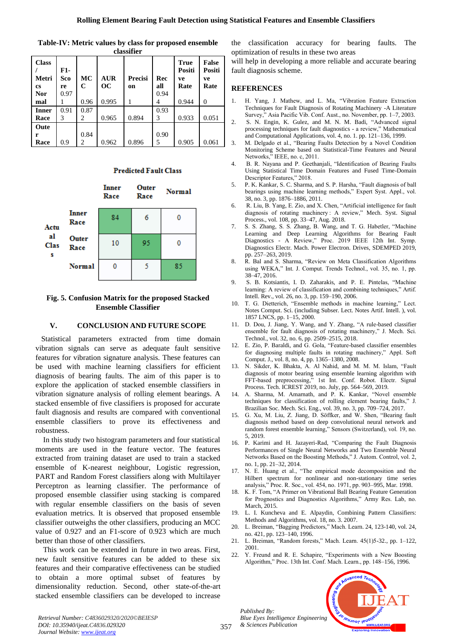| <b>Class</b><br>Metri<br><b>cs</b><br><b>Nor</b> | F1-<br>Sco<br>re<br>0.97 | MC<br>$\mathbf C$ | <b>AUR</b><br>OC. | <b>Precisi</b><br>on | Rec<br>all<br>0.94 | True<br>Positi<br>ve<br>Rate | <b>False</b><br>Positi<br>ve<br>Rate |
|--------------------------------------------------|--------------------------|-------------------|-------------------|----------------------|--------------------|------------------------------|--------------------------------------|
| mal                                              |                          | 0.96              | 0.995             |                      | 4                  | 0.944                        | $\Omega$                             |
| <b>Inner</b>                                     | 0.91                     | 0.87              |                   |                      | 0.93               |                              |                                      |
| Race                                             | 3                        | 2                 | 0.965             | 0.894                | 3                  | 0.933                        | 0.051                                |
| Oute                                             |                          |                   |                   |                      |                    |                              |                                      |
| r                                                |                          | 0.84              |                   |                      | 0.90               |                              |                                      |
| Race                                             | 0.9                      | 2                 | 0.962             | 0.896                | 5                  | 0.905                        | 0.061                                |

**Table-IV: Metric values by class for proposed ensemble classifier**

# **Predicted Fault Class**



# **Fig. 5. Confusion Matrix for the proposed Stacked Ensemble Classifier**

#### **V. CONCLUSION AND FUTURE SCOPE**

 Statistical parameters extracted from time domain vibration signals can serve as adequate fault sensitive features for vibration signature analysis. These features can be used with machine learning classifiers for efficient diagnosis of bearing faults. The aim of this paper is to explore the application of stacked ensemble classifiers in vibration signature analysis of rolling element bearings. A stacked ensemble of five classifiers is proposed for accurate fault diagnosis and results are compared with conventional ensemble classifiers to prove its effectiveness and robustness.

In this study two histogram parameters and four statistical moments are used in the feature vector. The features extracted from training dataset are used to train a stacked ensemble of K-nearest neighbour, Logistic regression, PART and Random Forest classifiers along with Multilayer Perceptron as learning classifier. The performance of proposed ensemble classifier using stacking is compared with regular ensemble classifiers on the basis of seven evaluation metrics. It is observed that proposed ensemble classifier outweighs the other classifiers, producing an MCC value of 0.927 and an F1-score of 0.923 which are much better than those of other classifiers.

This work can be extended in future in two areas. First, new fault sensitive features can be added to these six features and their comparative effectiveness can be studied to obtain a more optimal subset of features by dimensionality reduction. Second, other state-of-the-art stacked ensemble classifiers can be developed to increase

the classification accuracy for bearing faults. The optimization of results in these two areas

will help in developing a more reliable and accurate bearing fault diagnosis scheme.

# **REFERENCES**

- 1. H. Yang, J. Mathew, and L. Ma, "Vibration Feature Extraction Techniques for Fault Diagnosis of Rotating Machinery -A Literature Survey," Asia Pacific Vib. Conf. Aust., no. November, pp. 1–7, 2003.
- 2. S. N. Engin, K. Gulez, and M. N. M. Badi, "Advanced signal processing techniques for fault diagnostics - a review," Mathematical and Computational Applications, vol. 4, no. 1. pp. 121–136, 1999.
- 3. M. Delgado et al., "Bearing Faults Detection by a Novel Condition Monitoring Scheme based on Statistical-Time Features and Neural Networks," IEEE, no. c, 2011.
- 4. B. R. Nayana and P. Geethanjali, "Identification of Bearing Faults Using Statistical Time Domain Features and Fused Time-Domain Descriptor Features," 2018.
- 5. P. K. Kankar, S. C. Sharma, and S. P. Harsha, "Fault diagnosis of ball bearings using machine learning methods," Expert Syst. Appl., vol. 38, no. 3, pp. 1876–1886, 2011.
- 6. R. Liu, B. Yang, E. Zio, and X. Chen, "Artificial intelligence for fault diagnosis of rotating machinery : A review," Mech. Syst. Signal Process., vol. 108, pp. 33–47, Aug. 2018.
- 7. S. S. Zhang, S. S. Zhang, B. Wang, and T. G. Habetler, "Machine Learning and Deep Learning Algorithms for Bearing Fault Diagnostics - A Review," Proc. 2019 IEEE 12th Int. Symp. Diagnostics Electr. Mach. Power Electron. Drives, SDEMPED 2019, pp. 257–263, 2019.
- 8. R. Bal and S. Sharma, "Review on Meta Classification Algorithms using WEKA," Int. J. Comput. Trends Technol., vol. 35, no. 1, pp. 38–47, 2016.
- 9. S. B. Kotsiantis, I. D. Zaharakis, and P. E. Pintelas, "Machine learning: A review of classification and combining techniques," Artif. Intell. Rev., vol. 26, no. 3, pp. 159–190, 2006.
- 10. T. G. Dietterich, "Ensemble methods in machine learning," Lect. Notes Comput. Sci. (including Subser. Lect. Notes Artif. Intell. ), vol. 1857 LNCS, pp. 1–15, 2000.
- 11. D. Dou, J. Jiang, Y. Wang, and Y. Zhang, "A rule-based classifier ensemble for fault diagnosis of rotating machinery," J. Mech. Sci. Technol., vol. 32, no. 6, pp. 2509–2515, 2018.
- 12. E. Zio, P. Baraldi, and G. Gola, "Feature-based classifier ensembles for diagnosing multiple faults in rotating machinery," Appl. Soft Comput. J., vol. 8, no. 4, pp. 1365–1380, 2008.
- 13. N. Sikder, K. Bhakta, A. Al Nahid, and M. M. M. Islam, "Fault diagnosis of motor bearing using ensemble learning algorithm with FFT-based preprocessing," 1st Int. Conf. Robot. Electr. Signal Process. Tech. ICREST 2019, no. July, pp. 564–569, 2019.
- 14. A. Sharma, M. Amarnath, and P. K. Kankar, "Novel ensemble techniques for classification of rolling element bearing faults," J. Brazilian Soc. Mech. Sci. Eng., vol. 39, no. 3, pp. 709–724, 2017.
- 15. G. Xu, M. Liu, Z. Jiang, D. Söffker, and W. Shen, "Bearing fault diagnosis method based on deep convolutional neural network and random forest ensemble learning," Sensors (Switzerland), vol. 19, no. 5, 2019.
- 16. P. Karimi and H. Jazayeri-Rad, "Comparing the Fault Diagnosis Performances of Single Neural Networks and Two Ensemble Neural Networks Based on the Boosting Methods," J. Autom. Control, vol. 2, no. 1, pp. 21–32, 2014.
- 17. N. E. Huang et al., "The empirical mode decomposition and the Hilbert spectrum for nonlinear and non-stationary time series analysis," Proc. R. Soc., vol. 454, no. 1971, pp. 903–995, Mar. 1998.
- 18. K. F. Tom, "A Primer on Vibrational Ball Bearing Feature Generation for Prognostics and Diagnostics Algorithms," Army Res. Lab, no. March, 2015.
- 19. L. I. Kuncheva and E. Alpaydin, Combining Pattern Classifiers: Methods and Algorithms, vol. 18, no. 3. 2007.
- 20. L. Breiman, "Bagging Predictors," Mach. Learn. 24, 123-140, vol. 24, no. 421, pp. 123–140, 1996.
- 21. L. Breiman, "Random forests," Mach. Learn. 45(1)5-32., pp. 1–122, 2001.
- 22. Y. Freund and R. E. Schapire, "Experiments with a New Boosting Algorithm," Proc. 13th Int. Conf. Mach. Learn., pp. 148–156, 1996.

*Published By: Blue Eyes Intelligence Engineering & Sciences Publication* 



*Retrieval Number: C4836029320/2020©BEIESP DOI: 10.35940/ijeat.C4836.029320 Journal Website[: www.ijeat.org](http://www.ijeat.org/)*